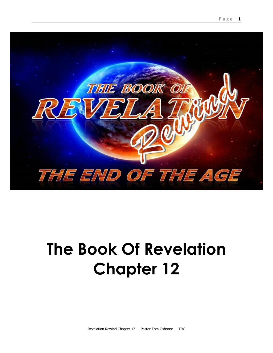

# **The Book Of Revelation Chapter 12**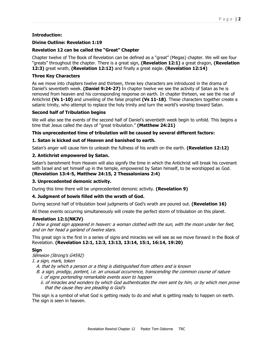#### **Introduction:**

#### **Divine Outline: Revelation 1:19**

#### **Revelation 12 can be called the "Great" Chapter**

Chapter twelve of The Book of Revelation can be defined as a "great" (Megas) chapter. We will see four "greats" throughout the chapter. There is a great sign, **(Revelation 12:1)** a great dragon, **(Revelation 12:3)** great wrath, **(Revelation 12:12)** and finally a great eagle. **(Revelation 12:14)**

#### **Three Key Characters**

As we move into chapters twelve and thirteen, three key characters are introduced in the drama of Daniel's seventieth week. **(Daniel 9:24-27)** In chapter twelve we see the activity of Satan as he is removed from heaven and his corresponding response on earth. In chapter thirteen, we see the rise of Antichrist **(Vs 1-10)** and unveiling of the false prophet **(Vs 11-18)**. These characters together create a satanic trinity, who attempt to replace the holy trinity and turn the world's worship toward Satan.

#### **Second half of Tribulation begins**

We will also see the events of the second half of Daniel's seventieth week begin to unfold. This begins a time that Jesus called the days of "great tribulation." **(Matthew 24:21)**

#### **This unprecedented time of tribulation will be caused by several different factors:**

#### **1. Satan is kicked out of Heaven and banished to earth.**

Satan's anger will cause him to unleash the fullness of his wrath on the earth. **(Revelation 12:12)**

#### **2. Antichrist empowered by Satan.**

Satan's banishment from Heaven will also signify the time in which the Antichrist will break his covenant with Israel and set himself up in the temple, empowered by Satan himself, to be worshipped as God. **(Revelation 13:4-5, Matthew 24:15, 2 Thessalonians 2:4)**

#### **3. Unprecedented demonic activity.**

During this time there will be unprecedented demonic activity. **(Revelation 9)**

#### **4. Judgment of bowls filled with the wrath of God.**

During second half of tribulation bowl judgments of God's wrath are poured out. **(Revelation 16)**

All these events occurring simultaneously will create the perfect storm of tribulation on this planet.

#### **Revelation 12:1(NKJV)**

1 Now a great sign appeared in heaven: a woman clothed with the sun, with the moon under her feet, and on her head a garland of twelve stars.

This great sign is the first in a series of signs and miracles we will see as we move forward in the Book of Revelation. **(Revelation 12:1, 12:3, 13:13, 13:14, 15:1, 16:14, 19:20)**

#### **Sign**

Sēmeion (Strong's G4592)

I. a sign, mark, token

A. that by which a person or a thing is distinguished from others and is known

- B. a sign, prodigy, portent, i.e. an unusual occurrence, transcending the common course of nature i. of signs portending remarkable events soon to happen
	- ii. of miracles and wonders by which God authenticates the men sent by him, or by which men prove that the cause they are pleading is God's

This sign is a symbol of what God is getting ready to do and what is getting ready to happen on earth. The sign is seen in heaven.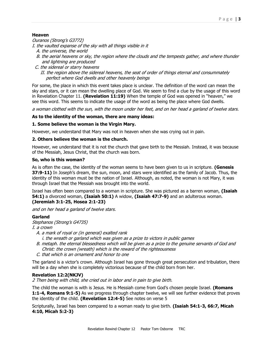### **Heaven**

Ouranos (Strong's G3772)

I. the vaulted expanse of the sky with all things visible in it

- A. the universe, the world
- B. the aerial heavens or sky, the region where the clouds and the tempests gather, and where thunder and lightning are produced
- C. the sidereal or starry heavens II. the region above the sidereal heavens, the seat of order of things eternal and consummately perfect where God dwells and other heavenly beings

For some, the place in which this event takes place is unclear. The definition of the word can mean the sky and stars, or it can mean the dwelling place of God. We seem to find a clue by the usage of this word in Revelation Chapter 11. **(Revelation 11:19)** When the temple of God was opened in "heaven," we see this word. This seems to indicate the usage of the word as being the place where God dwells.

a woman clothed with the sun, with the moon under her feet, and on her head a garland of twelve stars.

#### **As to the identity of the woman, there are many ideas:**

#### **1. Some believe the woman is the Virgin Mary.**

However, we understand that Mary was not in heaven when she was crying out in pain.

#### **2. Others believe the woman is the church.**

However, we understand that it is not the church that gave birth to the Messiah. Instead, it was because of the Messiah, Jesus Christ, that the church was born.

#### **So, who is this woman?**

As is often the case, the identity of the woman seems to have been given to us in scripture. **(Genesis 37:9-11)** In Joseph's dream, the sun, moon, and stars were identified as the family of Jacob. Thus, the identity of this woman must be the nation of Israel. Although, as noted, the woman is not Mary, it was through Israel that the Messiah was brought into the world.

Israel has often been compared to a woman in scripture. She was pictured as a barren woman, **(Isaiah 54:1)** a divorced woman, **(Isaiah 50:1)** A widow, **(Isaiah 47:7-9)** and an adulterous woman. **(Jeremiah 3:1-25, Hosea 2:1-23)**

and on her head a garland of twelve stars.

#### **Garland**

Stephanos (Strong's G4735)

I. a crown

- A. a mark of royal or (in general) exalted rank
	- i. the wreath or garland which was given as a prize to victors in public games
- B. metaph. the eternal blessedness which will be given as a prize to the genuine servants of God and Christ: the crown (wreath) which is the reward of the righteousness
- C. that which is an ornament and honor to one

The garland is a victor's crown. Although Israel has gone through great persecution and tribulation, there will be a day when she is completely victorious because of the child born from her.

#### **Revelation 12:2(NKJV)**

2 Then being with child, she cried out in labor and in pain to give birth.

The child the woman is with is Jesus. He is Messiah come from God's chosen people Israel. **(Romans 1:1-4, Romans 9:1-5)** As we progress through chapter twelve, we will see further evidence that proves the identity of the child. **(Revelation 12:4-5)** See notes on verse 5

Scripturally, Israel has been compared to a woman ready to give birth. **(Isaiah 54:1-3, 66:7, Micah 4:10, Micah 5:2-3)**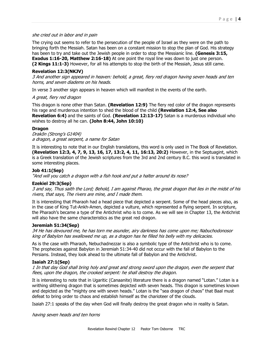#### she cried out in labor and in pain

The crying out seems to refer to the persecution of the people of Israel as they were on the path to bringing forth the Messiah. Satan has been on a constant mission to stop the plan of God. His strategy has been to try and take out the Jewish people in order to stop the Messianic line. **(Genesis 3:15, Exodus 1:16-20, Matthew 2:16-18)** At one point the royal line was down to just one person. **(2 Kings 11:1-3)** However, for all his attempts to stop the birth of the Messiah, Jesus still came.

#### **Revelation 12:3(NKJV)**

3 And another sign appeared in heaven: behold, a great, fiery red dragon having seven heads and ten horns, and seven diadems on his heads.

In verse 3 another sign appears in heaven which will manifest in the events of the earth.

#### A great, fiery red dragon

This dragon is none other than Satan. **(Revelation 12:9)** The fiery red color of the dragon represents his rage and murderous intention to shed the blood of the child **(Revelation 12:4, See also Revelation 6:4)** and the saints of God. **(Revelation 12:13-17)** Satan is a murderous individual who wishes to destroy all he can. **(John 8:44, John 10:10)** 

#### **Dragon**

Drakōn (Strong's G1404) a dragon, a great serpent, a name for Satan

It is interesting to note that in our English translations, this word is only used in The Book of Revelation. **(Revelation 12:3, 4, 7, 9, 13, 16, 17, 13:2, 4, 11, 16:13, 20:2)** However, in the Septuagint, which is a Greek translation of the Jewish scriptures from the 3rd and 2nd century B.C. this word is translated in some interesting places.

#### **Job 41:1(Sep)**

"And will you catch a dragon with a fish hook and put a halter around its nose?

#### **Ezekiel 29:3(Sep)**

3 and say, Thus saith the Lord; Behold, I am against Pharao, the great dragon that lies in the midst of his rivers, that says, The rivers are mine, and I made them.

It is interesting that Pharaoh had a head piece that depicted a serpent. Some of the head pieces also, as in the case of King Tut-Ankh-Amen, depicted a vulture, which represented a flying serpent. In scripture, the Pharaoh's became a type of the Antichrist who is to come. As we will see in Chapter 13, the Antichrist will also have the same characteristics as the great red dragon.

#### **Jeremiah 51:34(Sep)**

34 He has devoured me, he has torn me asunder, airy darkness has come upon me; Nabuchodonosor king of Babylon has swallowed me up, as a dragon has he filled his belly with my delicacies.

As is the case with Pharaoh, Nebuchadnezzar is also a symbolic type of the Antichrist who is to come. The prophecies against Babylon in Jeremiah 51:34-40 did not occur with the fall of Babylon to the Persians. Instead, they look ahead to the ultimate fall of Babylon and the Antichrist.

#### **Isaiah 27:1(Sep)**

1 In that day God shall bring holy and great and strong sword upon the dragon, even the serpent that flees, upon the dragon, the crooked serpent: he shall destroy the dragon.

It is interesting to note that in Ugaritic (Canaanite) literature there is a dragon named "Lotan." Lotan is a writhing slithering dragon that is sometimes depicted with seven heads. This dragon is sometimes known and depicted as the "mighty one with seven heads." Lotan is the "sea dragon of chaos" that Baal must defeat to bring order to chaos and establish himself as the charioteer of the clouds.

Isaiah 27:1 speaks of the day when God will finally destroy the great dragon who in reality is Satan.

having seven heads and ten horns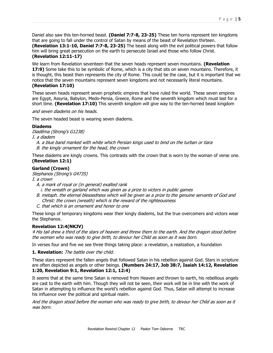Daniel also saw this ten-horned beast. **(Daniel 7:7-8, 23-25)** These ten horns represent ten kingdoms that are going to fall under the control of Satan by means of the beast of Revelation thirteen.

**(Revelation 13:1-10, Daniel 7:7-8, 23-25)** The beast along with the evil political powers that follow him will bring great persecution on the earth to persecute Israel and those who follow Christ. **(Revelation 12:11-17)** 

We learn from Revelation seventeen that the seven heads represent seven mountains. **(Revelation 17:9)** Some take this to be symbolic of Rome, which is a city that sits on seven mountains. Therefore, it is thought, this beast then represents the city of Rome. This could be the case, but it is important that we notice that the seven mountains represent seven kingdoms and not necessarily literal mountains. **(Revelation 17:10)**

These seven heads represent seven prophetic empires that have ruled the world. These seven empires are Egypt, Assyria, Babylon, Medo-Persia, Greece, Rome and the seventh kingdom which must last for a short time. **(Revelation 17:10)** This seventh kingdom will give way to the ten-horned beast kingdom

and seven diadems on his heads.

The seven headed beast is wearing seven diadems.

#### **Diadems**

Diadēma (Strong's G1238)

I. a diadem

 A. a blue band marked with white which Persian kings used to bind on the turban or tiara B. the kingly ornament for the head, the crown

These diadems are kingly crowns. This contrasts with the crown that is worn by the woman of verse one. **(Revelation 12:1)**

#### **Garland (Crown)**

Stephanos (Strong's G4735)

I. a crown

- A. a mark of royal or (in general) exalted rank i. the wreath or garland which was given as a prize to victors in public games
- B. metaph. the eternal blessedness which will be given as a prize to the genuine servants of God and Christ: the crown (wreath) which is the reward of the righteousness
- C. that which is an ornament and honor to one

These kings of temporary kingdoms wear their kingly diadems, but the true overcomers and victors wear the Stephanos.

#### **Revelation 12:4(NKJV)**

4 His tail drew a third of the stars of heaven and threw them to the earth. And the dragon stood before the woman who was ready to give birth, to devour her Child as soon as it was born.

In verses four and five we see three things taking place: a revelation, a realization, a foundation

**1. Revelation:** The battle over the child.

These stars represent the fallen angels that followed Satan in his rebellion against God. Stars in scripture are often depicted as angels or other beings. **(Numbers 24:17, Job 38:7, Isaiah 14:12, Revelation 1:20, Revelation 9:1, Revelation 12:1, 12:4)**

It seems that at the same time Satan is removed from Heaven and thrown to earth, his rebellious angels are cast to the earth with him. Though they will not be seen, their work will be in line with the work of Satan in attempting to influence the world's rebellion against God. Thus, Satan will attempt to increase his influence over the political and spiritual realm.

And the dragon stood before the woman who was ready to give birth, to devour her Child as soon as it was born.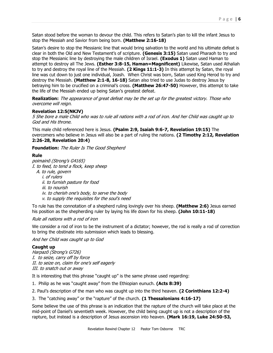Satan stood before the woman to devour the child. This refers to Satan's plan to kill the infant Jesus to stop the Messiah and Savior from being born. **(Matthew 2:16-18)**

Satan's desire to stop the Messianic line that would bring salvation to the world and his ultimate defeat is clear in both the Old and New Testament's of scripture. **(Genesis 3:15)** Satan used Pharaoh to try and stop the Messianic line by destroying the male children of Israel. **(Exodus 1)** Satan used Haman to attempt to destroy all The Jews. **(Esther 3:8-15, Haman=Magnificent)** Likewise, Satan used Athaliah to try and destroy the royal line of the Messiah. **(2 Kings 11:1-3)** In this attempt by Satan, the royal line was cut down to just one individual, Joash. When Christ was born, Satan used King Herod to try and destroy the Messiah. **(Matthew 2:1-8, 16-18)** Satan also tried to use Judas to destroy Jesus by betraying him to be crucified on a criminal's cross. **(Matthew 26:47-50)** However, this attempt to take the life of the Messiah ended up being Satan's greatest defeat.

**Realization:** The appearance of great defeat may be the set up for the greatest victory. Those who overcome will reign.

#### **Revelation 12:5(NKJV)**

5 She bore a male Child who was to rule all nations with a rod of iron. And her Child was caught up to God and His throne.

This male child referenced here is Jesus. **(Psalm 2:9, Isaiah 9:6-7, Revelation 19:15)** The overcomers who believe in Jesus will also be a part of ruling the nations. **(2 Timothy 2:12, Revelation 2:26-28, Revelation 20:4)** 

**Foundation:** The Ruler Is The Good Shepherd

#### **Rule**

poimainō (Strong's G4165)

- I. to feed, to tend a flock, keep sheep
	- A. to rule, govern
		- i. of rulers
		- ii. to furnish pasture for food
		- iii. to nourish
		- iv. to cherish one's body, to serve the body
		- v. to supply the requisites for the soul's need

To rule has the connotation of a shepherd ruling lovingly over his sheep. **(Matthew 2:6)** Jesus earned his position as the shepherding ruler by laying his life down for his sheep. **(John 10:11-18)**

#### Rule all nations with a rod of iron

We consider a rod of iron to be the instrument of a dictator; however, the rod is really a rod of correction to bring the obstinate into submission which leads to blessing.

And her Child was caught up to God

#### **Caught up**

Harpazō (Strong's G726) I. to seize, carry off by force II. to seize on, claim for one's self eagerly III. to snatch out or away

It is interesting that this phrase "caught up" is the same phrase used regarding:

- 1. Philip as he was "caught away" from the Ethiopian eunuch. **(Acts 8:39)**
- 2. Paul's description of the man who was caught up into the third heaven. **(2 Corinthians 12:2-4)**
- 3. The "catching away" or the "rapture" of the church. **(1 Thessalonians 4:16-17)**

Some believe the use of this phrase is an indication that the rapture of the church will take place at the mid-point of Daniel's seventieth week. However, the child being caught up is not a description of the rapture, but instead is a description of Jesus ascension into heaven. **(Mark 16:19, Luke 24:50-53,**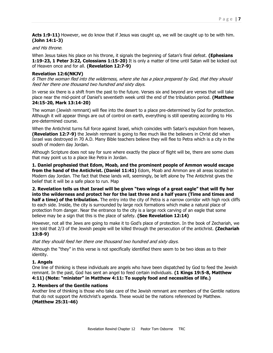Acts 1:9-11) However, we do know that if Jesus was caught up, we will be caught up to be with him. **(John 14:1-3)**

#### and His throne.

When Jesus takes his place on his throne, it signals the beginning of Satan's final defeat. **(Ephesians 1:19-23, 1 Peter 3:22, Colossians 1:15-20)** It is only a matter of time until Satan will be kicked out of Heaven once and for all. **(Revelation 12:7-9)** 

#### **Revelation 12:6(NKJV)**

6 Then the woman fled into the wilderness, where she has a place prepared by God, that they should feed her there one thousand two hundred and sixty days.

In verse six there is a shift from the past to the future. Verses six and beyond are verses that will take place near the mid-point of Daniel's seventieth week until the end of the tribulation period. **(Matthew 24:15-20, Mark 13:14-20)**

The woman (Jewish remnant) will flee into the desert to a place pre-determined by God for protection. Although it will appear things are out of control on earth, everything is still operating according to His pre-determined course.

When the Antichrist turns full force against Israel, which coincides with Satan's expulsion from heaven, **(Revelation 12:7-9)** the Jewish remnant is going to flee much like the believers in Christ did when Israel was destroyed in 70 A.D. Many Bible teachers believe they will flee to Petra which is a city in the south of modern day Jordan.

Although Scripture does not say for sure where exactly the place of flight will be, there are some clues that may point us to a place like Petra in Jordan.

**1. Daniel prophesied that Edom, Moab, and the prominent people of Ammon would escape from the hand of the Antichrist. (Daniel 11:41)** Edom, Moab and Ammon are all areas located in Modern day Jordan. The fact that these lands will, seemingly, be left alone by The Antichrist gives the belief that it will be a safe place to run. Map

**2. Revelation tells us that Israel will be given "two wings of a great eagle" that will fly her into the wilderness and protect her for the last three and a half years (Time and times and half a time) of the tribulation.** The entry into the city of Petra is a narrow corridor with high rock cliffs to each side. Inside, the city is surrounded by large rock formations which make a natural place of protection from danger. Near the entrance to the city is a large rock carving of an eagle that some believe may be a sign that this is the place of safety. **(See Revelation 12:14)**

However, not all the Jews are going to make it to God's place of protection. In the book of Zechariah, we are told that 2/3 of the Jewish people will be killed through the persecution of the antichrist. **(Zechariah 13:8-9)**

that they should feed her there one thousand two hundred and sixty days.

Although the "they" in this verse is not specifically identified there seem to be two ideas as to their identity.

#### **1. Angels**

One line of thinking is these individuals are angels who have been dispatched by God to feed the Jewish remnant. In the past, God has sent an angel to feed certain individuals. **(1 Kings 19:5-8, Matthew 4:11) (Note: "minister" in Matthew 4:11: To supply food and necessities of life.)**

#### **2. Members of the Gentile nations**

Another line of thinking is those who take care of the Jewish remnant are members of the Gentile nations that do not support the Antichrist's agenda. These would be the nations referenced by Matthew. **(Matthew 25:31-46)**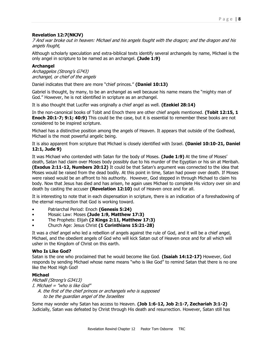#### **Revelation 12:7(NKJV)**

7 And war broke out in heaven: Michael and his angels fought with the dragon; and the dragon and his angels fought,

Although scholarly speculation and extra-biblical texts identify several archangels by name, Michael is the only angel in scripture to be named as an archangel. **(Jude 1:9)**

#### **Archangel**

Archaggelos (Strong's G743) archangel, or chief of the angels

Daniel indicates that there are more "chief princes." **(Daniel 10:13)**

Gabriel is thought, by many, to be an archangel as well because his name means the "mighty man of God." However, he is not identified in scripture as an archangel.

It is also thought that Lucifer was originally a chief angel as well. **(Ezekiel 28:14)**

In the non-canonical books of Tobit and Enoch there are other chief angels mentioned. **(Tobit 12:15, 1 Enoch 20:1-7; 9:1; 40:9)** This could be the case, but it is essential to remember these books are not considered to be inspired scripture.

Michael has a distinctive position among the angels of Heaven. It appears that outside of the Godhead, Michael is the most powerful angelic being.

It is also apparent from scripture that Michael is closely identified with Israel. **(Daniel 10:10-21, Daniel 12:1, Jude 9)** 

It was Michael who contended with Satan for the body of Moses. **(Jude 1:9)** At the time of Moses' death, Satan had claim over Moses body possibly due to his murder of the Egyptian or his sin at Meribah. **(Exodus 2:11-12, Numbers 20:12)** It could be that Satan's argument was connected to the idea that Moses would be raised from the dead bodily. At this point in time, Satan had power over death. If Moses were raised would be an affront to his authority. However, God stepped in through Michael to claim his body. Now that Jesus has died and has arisen, he again uses Michael to complete His victory over sin and death by casting the accuser **(Revelation 12:10)** out of Heaven once and for all.

It is interesting to note that in each dispensation in scripture, there is an indication of a foreshadowing of the eternal resurrection that God is working toward.

- Patriarchal Period: Enoch **(Genesis 5:24)**
- Mosaic Law: Moses **(Jude 1:9, Matthew 17:3)**
- The Prophets: Elijah **(2 Kings 2:11, Matthew 17:3)**
- Church Age: Jesus Christ **(1 Corinthians 15:21-28)**

It was a chief angel who led a rebellion of angels against the rule of God, and it will be a chief angel, Michael, and the obedient angels of God who will kick Satan out of Heaven once and for all which will usher in the Kingdom of Christ on this earth.

#### **Who Is Like God?**

Satan is the one who proclaimed that he would become like God. **(Isaiah 14:12-17)** However, God responds by sending Michael whose name means "who is like God" to remind Satan that there is no one like the Most High God!

#### **Michael**

Michaēl (Strong's G3413) I. Michael = "who is like God" A. the first of the chief princes or archangels who is supposed to be the guardian angel of the Israelites

Some may wonder why Satan has access to Heaven. **(Job 1:6-12, Job 2:1-7, Zechariah 3:1-2)** Judicially, Satan was defeated by Christ through His death and resurrection. However, Satan still has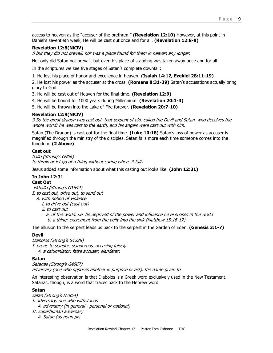access to heaven as the "accuser of the brethren." **(Revelation 12:10)** However, at this point in Daniel's seventieth week, He will be cast out once and for all. **(Revelation 12:8-9)**

#### **Revelation 12:8(NKJV)**

8 but they did not prevail, nor was a place found for them in heaven any longer.

Not only did Satan not prevail, but even his place of standing was taken away once and for all.

In the scriptures we see five stages of Satan's complete downfall:

1. He lost his place of honor and excellence in heaven. **(Isaiah 14:12, Ezekiel 28:11-19)**

2. He lost his power as the accuser at the cross. **(Romans 8:31-39)** Satan's accusations actually bring glory to God

3. He will be cast out of Heaven for the final time. **(Revelation 12:9)**

4. He will be bound for 1000 years during Millennium. **(Revelation 20:1-3)**

5. He will be thrown into the Lake of Fire forever. **(Revelation 20:7-10)**

#### **Revelation 12:9(NKJV)**

9 So the great dragon was cast out, that serpent of old, called the Devil and Satan, who deceives the whole world; he was cast to the earth, and his angels were cast out with him.

Satan (The Dragon) is cast out for the final time. **(Luke 10:18)** Satan's loss of power as accuser is magnified through the ministry of the disciples. Satan falls more each time someone comes into the Kingdom. **(2 Above)**

#### **Cast out**

ballō (Strong's G906) to throw or let go of a thing without caring where it falls

Jesus added some information about what this casting out looks like. **(John 12:31)**

#### **In John 12:31 Cast Out**

Ekballō (Strong's G1544) I. to cast out, drive out, to send out

A. with notion of violence

i. to drive out (cast out)

ii. to cast out

 a. of the world, i.e. be deprived of the power and influence he exercises in the world b. a thing: excrement from the belly into the sink (Matthew 15:16-17)

The allusion to the serpent leads us back to the serpent in the Garden of Eden. **(Genesis 3:1-7)** 

#### **Devil**

Diabolos (Strong's G1228) I. prone to slander, slanderous, accusing falsely A. a calumniator, false accuser, slanderer,

#### **Satan**

Satanas (Strong's G4567) adversary (one who opposes another in purpose or act), the name given to

An interesting observation is that Diabolos is a Greek word exclusively used in the New Testament. Satanas, though, is a word that traces back to the Hebrew word:

#### **Satan**

satan (Strong's H7854) I. adversary, one who withstands A. adversary (in general - personal or national) II. superhuman adversary A. Satan (as noun pr)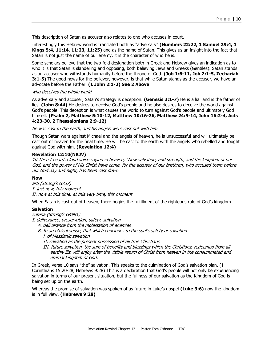This description of Satan as accuser also relates to one who accuses in court.

Interestingly this Hebrew word is translated both as "adversary" **(Numbers 22:22, 1 Samuel 29:4, 1 Kings 5:4, 11:14, 11:23, 11:25)** and as the name of Satan. This gives us an insight into the fact that Satan is not just the name of our enemy, it is the character of who he is.

Some scholars believe that the two-fold designation both in Greek and Hebrew gives an indication as to who it is that Satan is slandering and opposing, both believing Jews and Greeks (Gentiles). Satan stands as an accuser who withstands humanity before the throne of God. **(Job 1:6-11, Job 2:1-5, Zechariah 3:1-5)** The good news for the believer, however, is that while Satan stands as the accuser, we have an advocate before the Father. **(1 John 2:1-2) See 2 Above**

#### who deceives the whole world

As adversary and accuser, Satan's strategy is deception. **(Genesis 3:1-7)** He is a liar and is the father of lies. **(John 8:44)** He desires to deceive God's people and he also desires to deceive the world against God's people. This deception is what causes the world to turn against God's people and ultimately God himself. **(Psalm 2, Matthew 5:10-12, Matthew 10:16-26, Matthew 24:9-14, John 16:2-4, Acts 4:23-30, 2 Thessalonians 2:9-12)**

he was cast to the earth, and his angels were cast out with him.

Though Satan wars against Michael and the angels of heaven, he is unsuccessful and will ultimately be cast out of heaven for the final time. He will be cast to the earth with the angels who rebelled and fought against God with him. **(Revelation 12:4)**

#### **Revelation 12:10(NKJV)**

10 Then I heard a loud voice saying in heaven, "Now salvation, and strength, and the kingdom of our God, and the power of His Christ have come, for the accuser of our brethren, who accused them before our God day and night, has been cast down.

#### **Now**

arti (Strong's G737) I. just now, this moment II. now at this time, at this very time, this moment

When Satan is cast out of heaven, there begins the fulfillment of the righteous rule of God's kingdom.

#### **Salvation**

sōtēria (Strong's G4991)

I. deliverance, preservation, safety, salvation

- A. deliverance from the molestation of enemies
- B. In an ethical sense, that which concludes to the soul's safety or salvation i. of Messianic salvation
	- II. salvation as the present possession of all true Christians
	- III. future salvation, the sum of benefits and blessings which the Christians, redeemed from all earthly ills, will enjoy after the visible return of Christ from heaven in the consummated and eternal kingdom of God.

In Greek, verse 10 says "the" salvation. This speaks to the culmination of God's salvation plan. (1 Corinthians 15:20-28, Hebrews 9:28) This is a declaration that God's people will not only be experiencing salvation in terms of our present situation, but the fullness of our salvation as the Kingdom of God is being set up on the earth.

Whereas the promise of salvation was spoken of as future in Luke's gospel **(Luke 3:6)** now the kingdom is in full view. **(Hebrews 9:28)**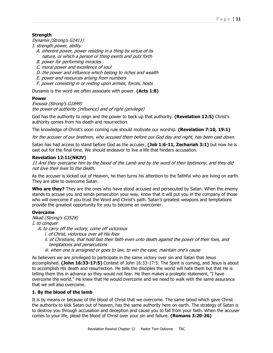#### **Strength**

Dynamis (Strong's G1411)

I. strength power, ability

- A. inherent power, power residing in a thing by virtue of its nature, or which a person or thing exerts and puts forth
- B. power for performing miracles
- C. moral power and excellence of soul
- D. the power and influence which belong to riches and wealth
- E. power and resources arising from numbers
- F. power consisting in or resting upon armies, forces, hosts

Dunamis is the word we often associate with power. **(Acts 1:8)**

#### **Power**

Exousia (Strong's G1849) the power of authority (influence) and of right (privilege)

God has the authority to reign and the power to back up that authority. **(Revelation 12:5)** Christ's authority comes from his death and resurrection.

The knowledge of Christ's soon coming rule should motivate our worship. **(Revelation 7:10, 19:1)**

for the accuser of our brethren, who accused them before our God day and night, has been cast down.

Satan has had access to stand before God as the accuser, **(Job 1:6-11, Zechariah 3:1)** but now he is cast out for the final time. We should endeavor to live a life that hinders accusation.

#### **Revelation 12:11(NKJV)**

11 And they overcame him by the blood of the Lamb and by the word of their testimony, and they did not love their lives to the death.

As the accuser is kicked out of Heaven, he then turns his attention to the faithful who are living on earth. They are able to overcome Satan.

**Who are they?** They are the ones who have stood accused and persecuted by Satan. When the enemy stands to accuse you and sends persecution your way, know that it will put you in the company of those who will overcome if you trust the Word and Christ's path. Satan's greatest weapons and temptations provide the greatest opportunity for you to become an overcomer.

#### **Overcame**

Nikaō (Strong's G3528)

I. to conquer

- A. to carry off the victory, come off victorious
	- i. of Christ, victorious over all His foes
	- ii. of Christians, that hold fast their faith even unto death against the power of their foes, and temptations and persecutions
	- iii. when one is arraigned or goes to law, to win the case, maintain one's cause

As believers we are privileged to participate in the same victory over sin and Satan that Jesus accomplished. **(John 16:33-17:5)** Context of John 16:33-17:5: The Spirit is coming, and Jesus is about to accomplish His death and resurrection. He tells the disciples the world will hate them but that He is telling them this in advance so they would not fear. He then makes a proleptic statement, "I have overcome the world." He knew that He would overcome and we need to walk with the same assurance that we will also overcome.

#### **1. By the blood of the lamb**

It is by means or because of the blood of Christ that we overcome. The same blood which gave Christ the authority to kick Satan out of heaven, has the same authority here on earth. The strategy of Satan is to destroy you through accusation and deception and cause you to fall from your faith. When the accuser comes to your life, plead the blood of Christ over your sin and failure. **(Romans 3:20-26)**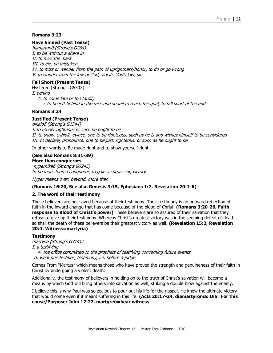#### **Romans 3:23**

#### **Have Sinned (Past Tense)**

hamartanō (Strong's G264) I. to be without a share in II. to miss the mark III. to err, be mistaken IV. to miss or wander from the path of uprightness/honor, to do or go wrong V. to wander from the law of God, violate God's law, sin

#### **Fall Short (Present Tense)**

Hystereō (Strong's G5302) I. behind A. to come late or too tardily i. to be left behind in the race and so fail to reach the goal, to fall short of the end

#### **Romans 3:24**

#### **Justified (Present Tense)**

dikaioō (Strong's G1344) I. to render righteous or such he ought to be II. to show, exhibit, evince, one to be righteous, such as he is and wishes himself to be considered III. to declare, pronounce, one to be just, righteous, or such as he ought to be

In other words to Be made right and to show yourself right.

## **(See also Romans 8:31-39)**

**More than conquerors** hypernikaō (Strong's G5245) to be more than a conqueror, to gain a surpassing victory

Hyper means over, beyond, more than

#### **(Romans 16:20, See also Genesis 3:15, Ephesians 1:7, Revelation 20:1-6)**

#### **2. The word of their testimony**

These believers are not saved because of their testimony. Their testimony is an outward reflection of faith in the inward change that has come because of the blood of Christ. **(Romans 3:20-26, Faith response to Blood of Christ's power)** These believers are so assured of their salvation that they refuse to give up their testimony. Whereas Christ's greatest victory was in the seeming defeat of death, so shall the death of these believers be their greatest victory as well. **(Revelation 15:2, Revelation 20:4: Witness=martyria)**

#### **Testimony**

martyria (Strong's G3141)

I. a testifying

 A. the office committed to the prophets of testifying concerning future events II. what one testifies, testimony, i.e. before a judge

Comes From "Martus" which means those who have proved the strength and genuineness of their faith in Christ by undergoing a violent death.

Additionally, the testimony of believers in holding on to the truth of Christ's salvation will become a means by which God will bring others into salvation as well, striking a double blow against the enemy.

I believe this is why Paul was so zealous to pour out his life for the gospel. He knew the ultimate victory that would come even if it meant suffering in this life. **(Acts 20:17-24, diamartyroma: Dia=For this cause/Purpose: John 12:27, martyreō=bear witness**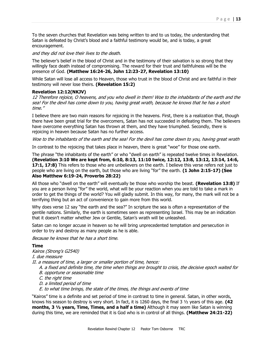To the seven churches that Revelation was being written to and to us today, the understanding that Satan is defeated by Christ's blood and a faithful testimony would be, and is today, a great encouragement.

and they did not love their lives to the death.

The believer's belief in the blood of Christ and in the testimony of their salvation is so strong that they willingly face death instead of compromising. The reward for their trust and faithfulness will be the presence of God. **(Matthew 16:24-26, John 12:23-27, Revelation 13:10)**

While Satan will lose all access to Heaven, those who trust in the blood of Christ and are faithful in their testimony will never lose theirs. **(Revelation 15:2)**

#### **Revelation 12:12(NKJV)**

12 Therefore rejoice, O heavens, and you who dwell in them! Woe to the inhabitants of the earth and the sea! For the devil has come down to you, having great wrath, because he knows that he has a short time."

I believe there are two main reasons for rejoicing in the heavens. First, there is a realization that, though there have been great trial for the overcomers, Satan has not succeeded in defeating them. The believers have overcome everything Satan has thrown at them, and they have triumphed. Secondly, there is rejoicing in heaven because Satan has no further access.

Woe to the inhabitants of the earth and the sea! For the devil has come down to you, having great wrath

In contrast to the rejoicing that takes place in heaven, there is great "woe" for those one earth.

The phrase "the inhabitants of the earth" or who "dwell on earth" is repeated twelve times in Revelation. **(Revelation 3:10 We are kept from, 6:10, 8:13, 11:10 twice, 12:12, 13:8, 13:12, 13:14, 14:6, 17:1, 17:8)** This refers to those who are unbelievers on the earth. I believe this verse refers not just to people who are living on the earth, but those who are living "for" the earth. **(1 John 2:15-17) (See Also Matthew 6:19-24, Proverbs 28:22)**

All those who "dwell on the earth" will eventually be those who worship the beast. **(Revelation 13:8)** If you are a person living "for" the world, what will be your reaction when you are told to take a mark in order to get the things of the world? You will gladly submit. In this way, for many, the mark will not be a terrifying thing but an act of convenience to gain more from this world.

Why does verse 12 say "the earth and the sea?" In scripture the sea is often a representation of the gentile nations. Similarly, the earth is sometimes seen as representing Israel. This may be an indication that it doesn't matter whether Jew or Gentile, Satan's wrath will be unleashed.

Satan can no longer accuse in heaven so he will bring unprecedented temptation and persecution in order to try and destroy as many people as he is able.

Because he knows that he has a short time.

#### **Time**

Kairos (Strong's G2540) I. due measure II. a measure of time, a larger or smaller portion of time, hence: A. a fixed and definite time, the time when things are brought to crisis, the decisive epoch waited for B. opportune or seasonable time C. the right time D. a limited period of time E. to what time brings, the state of the times, the things and events of time

"Kairos" time is a definite and set period of time in contrast to time in general. Satan, in other words, knows his season to destroy is very short. In fact, it is 1260 days, the final 3 ½ years of this age. **(42 months, 3 ½ years, Time, Times, and a half a time)** Although it may seem like Satan is winning during this time, we are reminded that it is God who is in control of all things. **(Matthew 24:21-22)**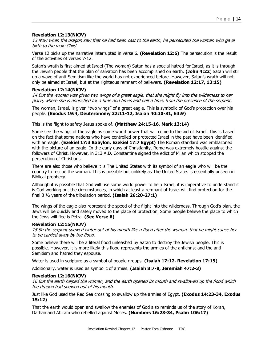#### **Revelation 12:13(NKJV)**

13 Now when the dragon saw that he had been cast to the earth, he persecuted the woman who gave birth to the male Child.

Verse 12 picks up the narrative interrupted in verse 6. **(Revelation 12:6)** The persecution is the result of the activities of verses 7-12.

Satan's wrath is first aimed at Israel (The woman) Satan has a special hatred for Israel, as it is through the Jewish people that the plan of salvation has been accomplished on earth. **(John 4:22**) Satan will stir up a wave of anti-Semitism like the world has not experienced before. However, Satan's wrath will not only be aimed at Israel, but at the righteous remnant of believers. **(Revelation 12:17, 13:15)**

#### **Revelation 12:14(NKJV)**

14 But the woman was given two wings of a great eagle, that she might fly into the wilderness to her place, where she is nourished for a time and times and half a time, from the presence of the serpent.

The woman, Israel, is given "two wings" of a great eagle. This is symbolic of God's protection over his people. **(Exodus 19:4, Deuteronomy 32:11-12, Isaiah 40:30-31, 63:9)**

This is the flight to safety Jesus spoke of. **(Matthew 24:15-16, Mark 13:14)** 

Some see the wings of the eagle as some world power that will come to the aid of Israel. This is based on the fact that some nations who have controlled or protected Israel in the past have been identified with an eagle. **(Ezekiel 17:3 Babylon, Ezekiel 17:7 Egypt)** The Roman standard was emblazoned with the picture of an eagle. In the early days of Christianity, Rome was extremely hostile against the followers of Christ. However, in 313 A.D. Constantine signed the edict of Milan which stopped the persecution of Christians.

There are also those who believe it is The United States with its symbol of an eagle who will be the country to rescue the woman. This is possible but unlikely as The United States is essentially unseen in Biblical prophecy.

Although it is possible that God will use some world power to help Israel, it is imperative to understand it is God working out the circumstances, in which at least a remnant of Israel will find protection for the final 3 ½ years of the tribulation period. **(Isaiah 26:20-27:1)**

The wings of the eagle also represent the speed of the flight into the wilderness. Through God's plan, the Jews will be quickly and safely moved to the place of protection. Some people believe the place to which the Jews will flee is Petra. **(See Verse 6)**

#### **Revelation 12:15(NKJV)**

15 So the serpent spewed water out of his mouth like a flood after the woman, that he might cause her to be carried away by the flood.

Some believe there will be a literal flood unleashed by Satan to destroy the Jewish people. This is possible. However, it is more likely this flood represents the armies of the antichrist and the anti-Semitism and hatred they espouse.

Water is used in scripture as a symbol of people groups. **(Isaiah 17:12, Revelation 17:15)**

Additionally, water is used as symbolic of armies. **(Isaiah 8:7-8, Jeremiah 47:2-3)**

#### **Revelation 12:16(NKJV)**

16 But the earth helped the woman, and the earth opened its mouth and swallowed up the flood which the dragon had spewed out of his mouth.

Just like God used the Red Sea crossing to swallow up the armies of Egypt. **(Exodus 14:23-34, Exodus 15:12)**

That the earth would open and swallow the enemies of God also reminds us of the story of Korah, Dathan and Abiram who rebelled against Moses. **(Numbers 16:23-34, Psalm 106:17)**